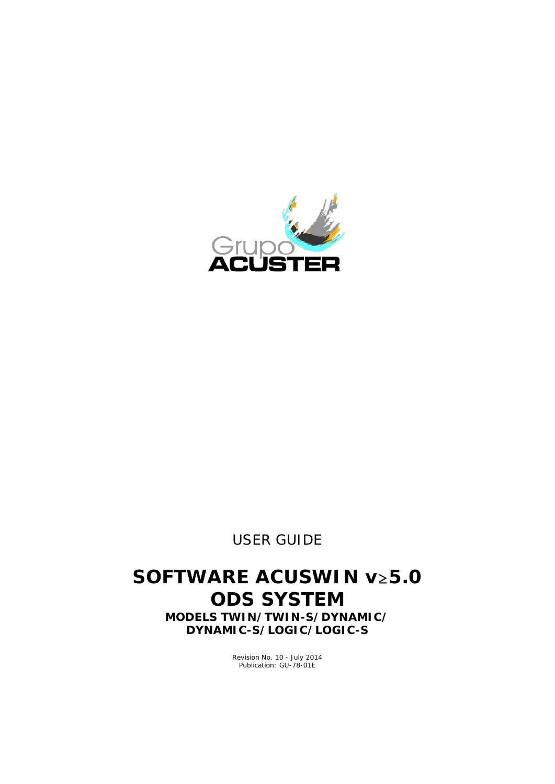

*USER GUIDE*

## **SOFTWARE ACUSWIN v≥5.0 ODS SYSTEM**

**MODELS TWIN/TWIN-S/DYNAMIC/ DYNAMIC-S/LOGIC/LOGIC-S**

> Revision No. 10 - July 2014 Publication: GU-78-01E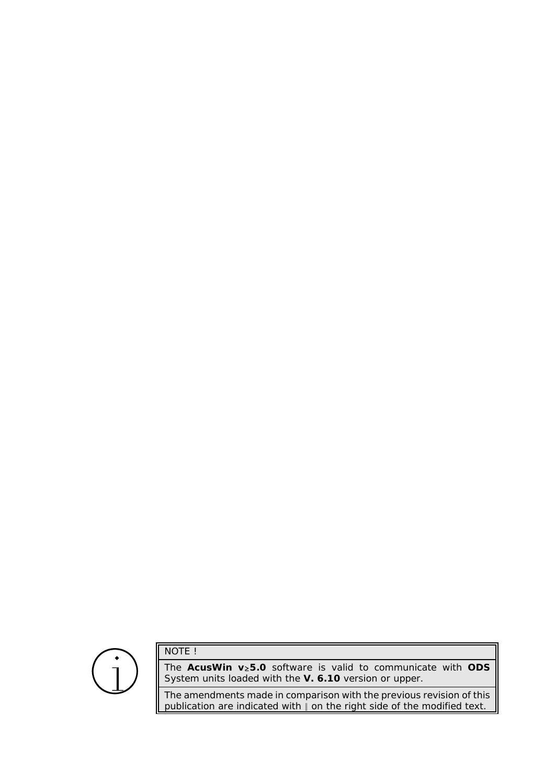# $\bigodot$

NOTE !

The AcusWin v<sub>2</sub>5.0 software is valid to communicate with ODS System units loaded with the **V. 6.10** version or upper.

The amendments made in comparison with the previous revision of this publication are indicated with  $\parallel$  on the right side of the modified text.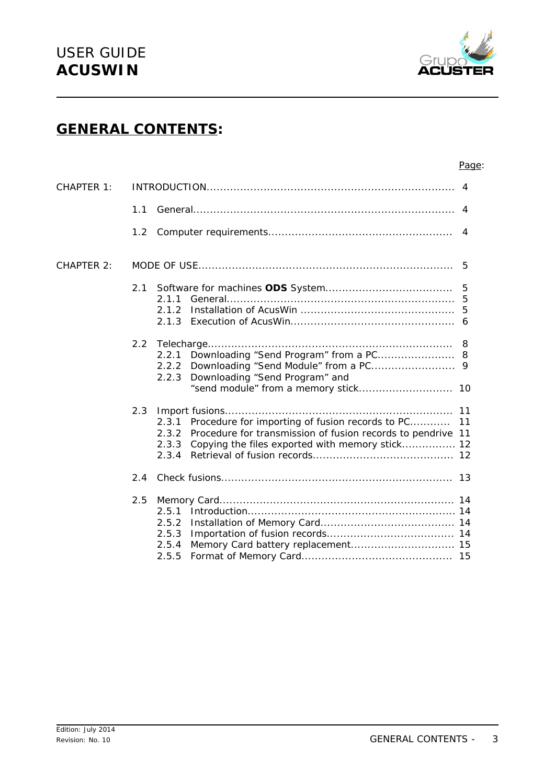

## **GENERAL CONTENTS:**

#### Page:

| CHAPTER 1: |               | 4                                                                                                                                                                                                           |  |
|------------|---------------|-------------------------------------------------------------------------------------------------------------------------------------------------------------------------------------------------------------|--|
|            | 1.1           |                                                                                                                                                                                                             |  |
|            | 1.2           | 4                                                                                                                                                                                                           |  |
| CHAPTER 2: |               | 5                                                                                                                                                                                                           |  |
|            | 2.1           | 5<br>2.1.1<br>2.1.2<br>2.1.3                                                                                                                                                                                |  |
|            | 2.2           | Downloading "Send Program" from a PC 8<br>2.2.1<br>2.2.2<br>Downloading "Send Program" and<br>2.2.3<br>"send module" from a memory stick 10                                                                 |  |
|            | 2.3           | Procedure for importing of fusion records to PC<br>11<br>2.3.1<br>Procedure for transmission of fusion records to pendrive 11<br>2.3.2<br>Copying the files exported with memory stick 12<br>2.3.3<br>2.3.4 |  |
|            | 2.4           |                                                                                                                                                                                                             |  |
|            | $2.5^{\circ}$ | 2.5.1<br>2.5.2<br>2.5.3<br>2.5.4<br>2.5.5                                                                                                                                                                   |  |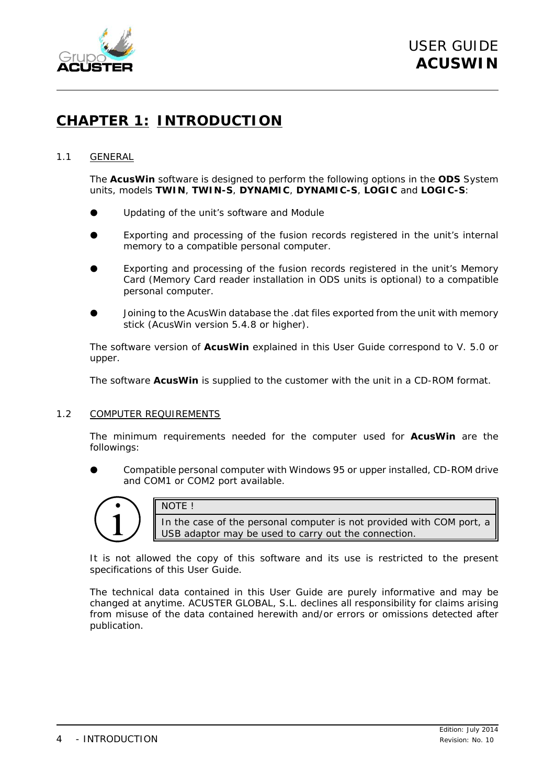

## **CHAPTER 1: INTRODUCTION**

#### 1.1 GENERAL

The **AcusWin** software is designed to perform the following options in the **ODS** System units, models **TWIN**, **TWIN-S**, **DYNAMIC**, **DYNAMIC-S**, **LOGIC** and **LOGIC-S**:

- Updating of the unit's software and Module
- Exporting and processing of the fusion records registered in the unit's internal memory to a compatible personal computer.
- Exporting and processing of the fusion records registered in the unit's Memory Card (Memory Card reader installation in ODS units is optional) to a compatible personal computer.
- Joining to the AcusWin database the .dat files exported from the unit with memory stick (AcusWin version 5.4.8 or higher).

The software version of **AcusWin** explained in this *User Guide* correspond to V. 5.0 or upper.

The software **AcusWin** is supplied to the customer with the unit in a CD-ROM format.

#### 1.2 COMPUTER REQUIREMENTS

The minimum requirements needed for the computer used for **AcusWin** are the followings:

Compatible personal computer with Windows 95 or upper installed, CD-ROM drive and COM1 or COM2 port available.



NOTE ! In the case of the personal computer is not provided with COM port, a USB adaptor may be used to carry out the connection.

It is not allowed the copy of this software and its use is restricted to the present specifications of this *User Guide*.

The technical data contained in this *User Guide* are purely informative and may be changed at anytime. ACUSTER GLOBAL, S.L. declines all responsibility for claims arising from misuse of the data contained herewith and/or errors or omissions detected after publication.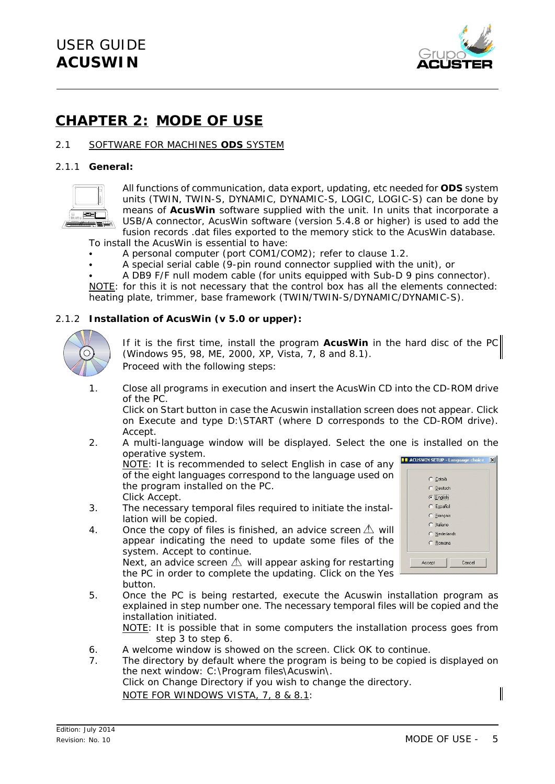

### **CHAPTER 2: MODE OF USE**

#### 2.1 SOFTWARE FOR MACHINES **ODS** SYSTEM

#### 2.1.1 **General:**



All functions of communication, data export, updating, etc needed for **ODS** system units (TWIN, TWIN-S, DYNAMIC, DYNAMIC-S, LOGIC, LOGIC-S) can be done by means of **AcusWin** software supplied with the unit. In units that incorporate a USB/A connector, AcusWin software (version 5.4.8 or higher) is used to add the fusion records .dat files exported to the memory stick to the AcusWin database.

To install the AcusWin is essential to have:

- A personal computer (port COM1/COM2); refer to clause 1.2.
- A special serial cable (9-pin round connector supplied with the unit), or
- A DB9 F/F null modem cable (for units equipped with Sub-D 9 pins connector). NOTE: for this it is not necessary that the control box has all the elements connected:

heating plate, trimmer, base framework (TWIN/TWIN-S/DYNAMIC/DYNAMIC-S).

#### 2.1.2 **Installation of AcusWin (v 5.0 or upper):**



If it is the first time, install the program **AcusWin** in the hard disc of the PC (*Windows 95, 98, ME, 2000, XP, Vista, 7, 8 and 8.1*).

- Proceed with the following steps:
- 1. Close all programs in execution and insert the AcusWin CD into the CD-ROM drive of the PC.

Click on Start button in case the Acuswin installation screen does not appear. Click on Execute and type D:\START (where D corresponds to the CD-ROM drive). Accept.

2. A multi-language window will be displayed. Select the one is installed on the operative system.

NOTE: *It is recommended to select English in case of any of the eight languages correspond to the language used on the program installed on the PC.* Click Accept.

- 3. The necessary temporal files required to initiate the installation will be copied.
- 4. Once the copy of files is finished, an advice screen  $\triangle$  will appear indicating the need to update some files of the system. Accept to continue. Next, an advice screen  $\triangle$  will appear asking for restarting the PC in order to complete the updating. Click on the Yes



button. 5. Once the PC is being restarted, execute the Acuswin installation program as explained in step number one. The necessary temporal files will be copied and the installation initiated.

NOTE: *It is possible that in some computers the installation process goes from step 3 to step 6.*

- 6. A welcome window is showed on the screen. Click OK to continue.
- 7. The directory by default where the program is being to be copied is displayed on the next window: C:\Program files\Acuswin\. Click on Change Directory if you wish to change the directory. NOTE FOR WINDOWS VISTA, 7, 8 & 8.1: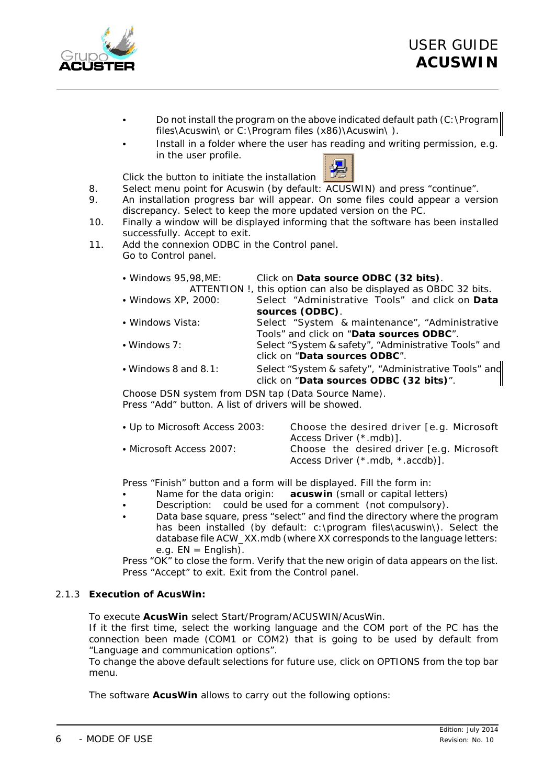

- Do not install the program on the above indicated default path (C:\Program files\Acuswin\ or C:\Program files (x86)\Acuswin\ ).
- Install in a folder where the user has reading and writing permission, e.g. in the user profile.

Click the button to initiate the installation



- 8. Select menu point for Acuswin (by default: ACUSWIN) and press "continue".
- 9. An installation progress bar will appear. On some files could appear a version discrepancy. Select to keep the more updated version on the PC.
- 10. Finally a window will be displayed informing that the software has been installed successfully. Accept to exit.
- 11. Add the connexion ODBC in the *Control panel*. Go to Control panel.

| • Windows 95, 98, ME: | Click on Data source ODBC (32 bits).                                                            |
|-----------------------|-------------------------------------------------------------------------------------------------|
|                       | ATTENTION !, this option can also be displayed as OBDC 32 bits.                                 |
| • Windows XP, 2000:   | Select "Administrative Tools" and click on Data                                                 |
|                       | sources (ODBC).                                                                                 |
| • Windows Vista:      | Select "System & maintenance", "Administrative                                                  |
|                       | Tools" and click on "Data sources ODBC".                                                        |
| • Windows 7:          | Select "System & safety", "Administrative Tools" and                                            |
|                       | click on "Data sources ODBC".                                                                   |
| • Windows 8 and 8.1:  | Select "System & safety", "Administrative Tools" and<br>click on "Data sources ODBC (32 bits)". |

Choose DSN system from DSN tap (Data Source Name). Press "Add" button. A list of drivers will be showed.

| • Up to Microsoft Access 2003: | Choose the desired driver [e.g. Microsoft]<br>Access Driver (*.mdb)].          |
|--------------------------------|--------------------------------------------------------------------------------|
| • Microsoft Access 2007: •     | Choose the desired driver [e.g. Microsoft]<br>Access Driver (*.mdb, *.accdb)]. |

Press "Finish" button and a form will be displayed. Fill the form in:

- Name for the data origin: **acuswin** (small or capital letters)
- Description: could be used for a comment (not compulsory).
- Data base square, press "select" and find the directory where the program has been installed (by default: c:\program files\acuswin\). Select the database file ACW\_XX.mdb (where XX corresponds to the language letters: e.g.  $EN =$  English).

Press "OK" to close the form. Verify that the new origin of data appears on the list. Press "Accept" to exit. Exit from the Control panel.

#### 2.1.3 **Execution of AcusWin:**

To execute **AcusWin** select Start/Program/ACUSWIN/AcusWin.

If it the first time, select the working language and the COM port of the PC has the connection been made (COM1 or COM2) that is going to be used by default from "Language and communication options".

To change the above default selections for future use, click on OPTIONS from the top bar menu.

The software **AcusWin** allows to carry out the following options: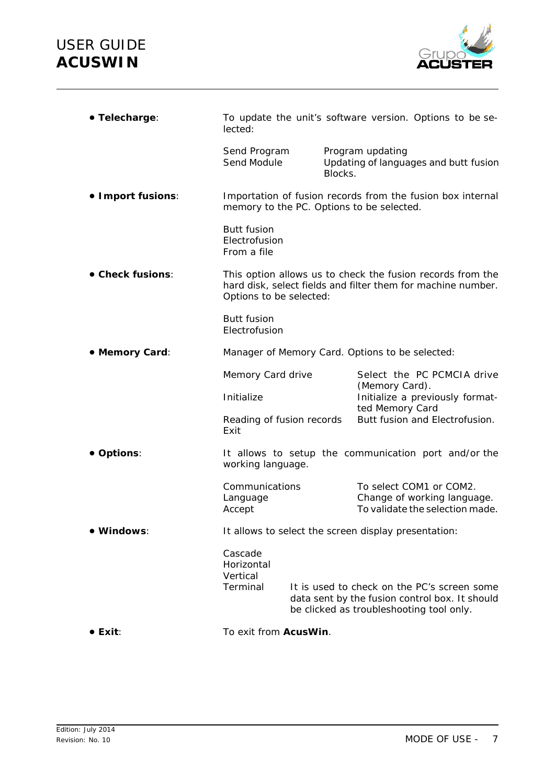

| · Telecharge:                                                     | To update the unit's software version. Options to be se-<br>lected:                                                                                   |                                          |                                              |                                                                                               |  |
|-------------------------------------------------------------------|-------------------------------------------------------------------------------------------------------------------------------------------------------|------------------------------------------|----------------------------------------------|-----------------------------------------------------------------------------------------------|--|
|                                                                   | Send Program<br>Send Module                                                                                                                           | Blocks.                                  | Program updating                             | Updating of languages and butt fusion                                                         |  |
| • Import fusions:                                                 | Importation of fusion records from the fusion box internal<br>memory to the PC. Options to be selected.                                               |                                          |                                              |                                                                                               |  |
|                                                                   | <b>Butt fusion</b><br>Electrofusion<br>From a file                                                                                                    |                                          |                                              |                                                                                               |  |
| • Check fusions:                                                  | This option allows us to check the fusion records from the<br>hard disk, select fields and filter them for machine number.<br>Options to be selected: |                                          |                                              |                                                                                               |  |
|                                                                   | <b>Butt fusion</b><br>Electrofusion                                                                                                                   |                                          |                                              |                                                                                               |  |
| • Memory Card:<br>Manager of Memory Card. Options to be selected: |                                                                                                                                                       |                                          |                                              |                                                                                               |  |
|                                                                   | Memory Card drive                                                                                                                                     |                                          | Select the PC PCMCIA drive<br>(Memory Card). |                                                                                               |  |
|                                                                   | Initialize                                                                                                                                            |                                          | ted Memory Card                              | Initialize a previously format-                                                               |  |
|                                                                   | Exit                                                                                                                                                  | Reading of fusion records                |                                              | Butt fusion and Electrofusion.                                                                |  |
| • Options:                                                        | It allows to setup the communication port and/or the<br>working language.                                                                             |                                          |                                              |                                                                                               |  |
|                                                                   | Communications<br>Language<br>Accept                                                                                                                  |                                          |                                              | To select COM1 or COM2.<br>Change of working language.<br>To validate the selection made.     |  |
| ● Windows:                                                        | It allows to select the screen display presentation:                                                                                                  |                                          |                                              |                                                                                               |  |
|                                                                   | Cascade<br>Horizontal<br>Vertical<br>Terminal                                                                                                         | be clicked as troubleshooting tool only. |                                              | It is used to check on the PC's screen some<br>data sent by the fusion control box. It should |  |
| $\bullet$ Exit:                                                   | To exit from AcusWin.                                                                                                                                 |                                          |                                              |                                                                                               |  |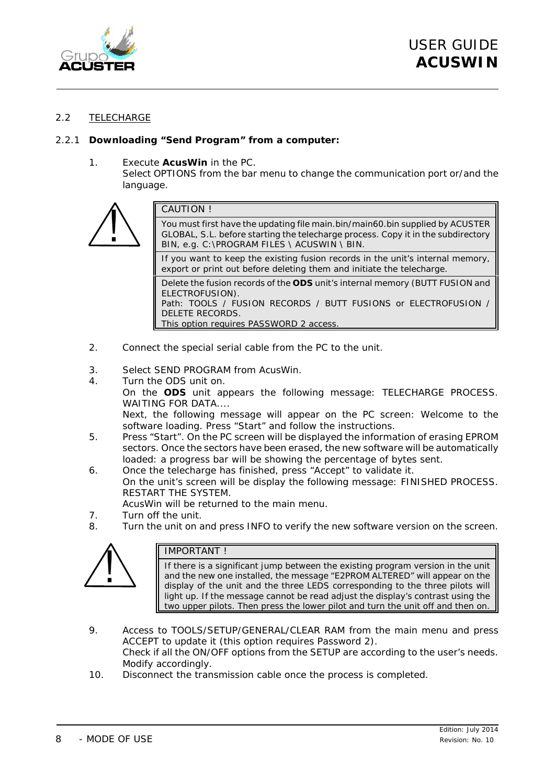

#### 2.2 TELECHARGE

#### 2.2.1 **Downloading "Send Program" from a computer:**

#### 1. Execute **AcusWin** in the PC.

Select OPTIONS from the bar menu to change the communication port or/and the language.



Delete the fusion records of the **ODS** unit's internal memory (BUTT FUSION and ELECTROFUSION). Path: TOOLS / FUSION RECORDS / BUTT FUSIONS or ELECTROFUSION / DELETE RECORDS.

This option requires PASSWORD 2 access.

- 2. Connect the special serial cable from the PC to the unit.
- 3. Select SEND PROGRAM from AcusWin.
- 4. Turn the ODS unit on. On the **ODS** unit appears the following message: TELECHARGE PROCESS. WAITING FOR DATA.... Next, the following message will appear on the PC screen: Welcome to the

software loading. Press "Start" and follow the instructions.

- 5. Press "Start". On the PC screen will be displayed the information of erasing EPROM sectors. Once the sectors have been erased, the new software will be automatically loaded: a progress bar will be showing the percentage of bytes sent.
- 6. Once the telecharge has finished, press "Accept" to validate it. On the unit's screen will be display the following message: FINISHED PROCESS. RESTART THE SYSTEM.
	- AcusWin will be returned to the main menu.
- 7. Turn off the unit.
- 8. Turn the unit on and press INFO to verify the new software version on the screen.



#### IMPORTANT !

If there is a significant jump between the existing program version in the unit and the new one installed, the message "E2PROM ALTERED" will appear on the display of the unit and the three LEDS corresponding to the three pilots will light up. If the message cannot be read adjust the display's contrast using the two upper pilots. Then press the lower pilot and turn the unit off and then on.

- 9. Access to TOOLS/SETUP/GENERAL/CLEAR RAM from the main menu and press ACCEPT to update it (this option requires Password 2). Check if all the ON/OFF options from the SETUP are according to the user's needs. Modify accordingly.
- 10. Disconnect the transmission cable once the process is completed.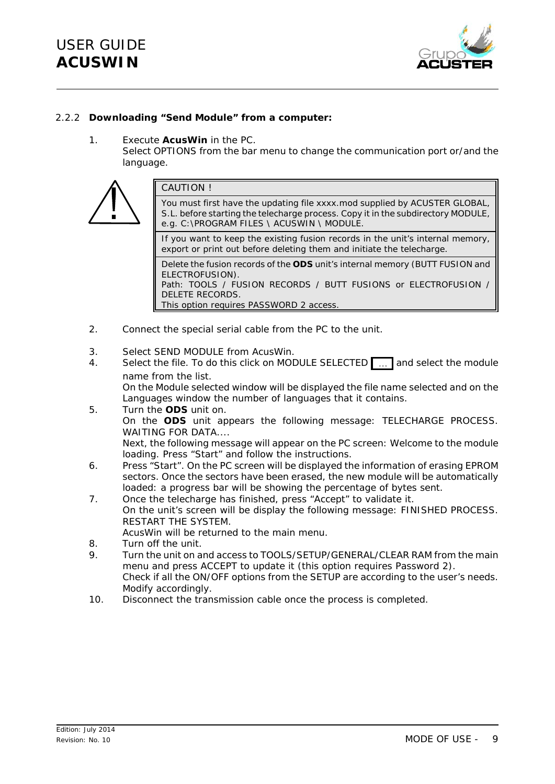

#### 2.2.2 **Downloading "Send Module" from a computer:**

1. Execute **AcusWin** in the PC.

Select OPTIONS from the bar menu to change the communication port or/and the language.



- 2. Connect the special serial cable from the PC to the unit.
- 3. Select SEND MODULE from AcusWin.
- 4. Select the file. To do this click on MODULE SELECTED **...** and select the module name from the list.

On the *Module selected* window will be displayed the file name selected and on the *Languages* window the number of languages that it contains.

- 5. Turn the **ODS** unit on. On the **ODS** unit appears the following message: TELECHARGE PROCESS. WAITING FOR DATA.... Next, the following message will appear on the PC screen: Welcome to the module loading. Press "Start" and follow the instructions.
- 6. Press "Start". On the PC screen will be displayed the information of erasing EPROM sectors. Once the sectors have been erased, the new module will be automatically loaded: a progress bar will be showing the percentage of bytes sent.
- 7. Once the telecharge has finished, press "Accept" to validate it. On the unit's screen will be display the following message: FINISHED PROCESS. RESTART THE SYSTEM.

AcusWin will be returned to the main menu.

- 8. Turn off the unit.
- 9. Turn the unit on and access to TOOLS/SETUP/GENERAL/CLEAR RAM from the main menu and press ACCEPT to update it (this option requires Password 2). Check if all the ON/OFF options from the SETUP are according to the user's needs. Modify accordingly.
- 10. Disconnect the transmission cable once the process is completed.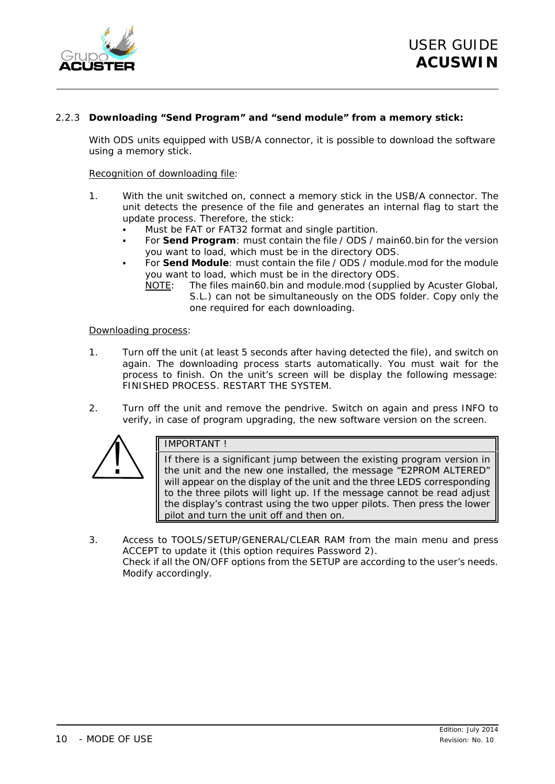

#### 2.2.3 **Downloading "Send Program" and "send module" from a memory stick:**

With ODS units equipped with USB/A connector, it is possible to download the software using a memory stick.

#### *Recognition of downloading file:*

- 1. With the unit switched on, connect a memory stick in the USB/A connector. The unit detects the presence of the file and generates an internal flag to start the update process. Therefore, the stick:
	- Must be FAT or FAT32 format and single partition.
	- C For **Send Program**: must contain the file */ ODS / main60.bin* for the version you want to load, which must be in the directory ODS.
	- For **Send Module**: must contain the file / ODS / module.mod for the module you want to load, which must be in the directory ODS.
		- NOTE: The files *main60.bin* and *module.mod* (supplied by Acuster Global, S.L.) can not be simultaneously on the ODS folder. Copy only the one required for each downloading.

#### *Downloading process:*

- 1. Turn off the unit (at least 5 seconds after having detected the file), and switch on again. The downloading process starts automatically. You must wait for the process to finish. On the unit's screen will be display the following message: FINISHED PROCESS. RESTART THE SYSTEM.
- 2. Turn off the unit and remove the pendrive. Switch on again and press INFO to verify, in case of program upgrading, the new software version on the screen.



#### IMPORTANT !

If there is a significant jump between the existing program version in the unit and the new one installed, the message "E2PROM ALTERED" will appear on the display of the unit and the three LEDS corresponding to the three pilots will light up. If the message cannot be read adjust the display's contrast using the two upper pilots. Then press the lower pilot and turn the unit off and then on.

3. Access to TOOLS/SETUP/GENERAL/CLEAR RAM from the main menu and press ACCEPT to update it (this option requires Password 2). Check if all the ON/OFF options from the SETUP are according to the user's needs. Modify accordingly.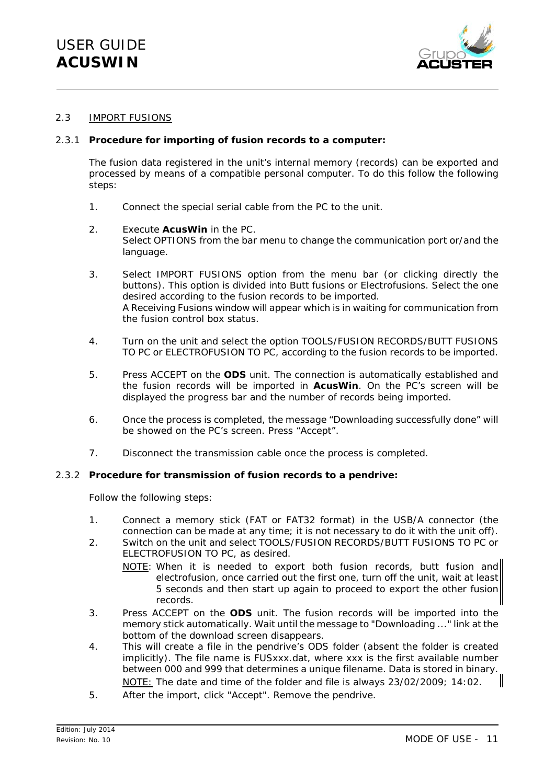

#### 2.3 IMPORT FUSIONS

#### 2.3.1 **Procedure for importing of fusion records to a computer:**

The fusion data registered in the unit's internal memory (records) can be exported and processed by means of a compatible personal computer. To do this follow the following steps:

- 1. Connect the special serial cable from the PC to the unit.
- 2. Execute **AcusWin** in the PC. Select OPTIONS from the bar menu to change the communication port or/and the language.
- 3. Select IMPORT FUSIONS option from the menu bar (or clicking directly the buttons). This option is divided into *Butt fusions* or *Electrofusions*. Select the one desired according to the fusion records to be imported. A *Receiving Fusions* window will appear which is in waiting for communication from the fusion control box status.
- 4. Turn on the unit and select the option TOOLS/FUSION RECORDS/BUTT FUSIONS TO PC or ELECTROFUSION TO PC, according to the fusion records to be imported.
- 5. Press ACCEPT on the **ODS** unit. The connection is automatically established and the fusion records will be imported in **AcusWin**. On the PC's screen will be displayed the progress bar and the number of records being imported.
- 6. Once the process is completed, the message "*Downloading successfully done*" will be showed on the PC's screen. Press "Accept".
- 7. Disconnect the transmission cable once the process is completed.

#### 2.3.2 **Procedure for transmission of fusion records to a pendrive:**

Follow the following steps:

- 1. Connect a memory stick (FAT or FAT32 format) in the USB/A connector (the connection can be made at any time; it is not necessary to do it with the unit off).
- 2. Switch on the unit and select TOOLS/FUSION RECORDS/BUTT FUSIONS TO PC or ELECTROFUSION TO PC, as desired.
	- NOTE: When it is needed to export both fusion records, butt fusion and electrofusion, once carried out the first one, turn off the unit, wait at least 5 seconds and then start up again to proceed to export the other fusion records.
- 3. Press ACCEPT on the **ODS** unit. The fusion records will be imported into the memory stick automatically. Wait until the message to "Downloading ..." link at the bottom of the download screen disappears.
- 4. This will create a file in the pendrive's ODS folder (absent the folder is created implicitly). The file name is FUSxxx.dat, where xxx is the first available number between 000 and 999 that determines a unique filename. Data is stored in binary. NOTE: The date and time of the folder and file is always 23/02/2009; 14:02.
- 5. After the import, click "Accept". Remove the pendrive.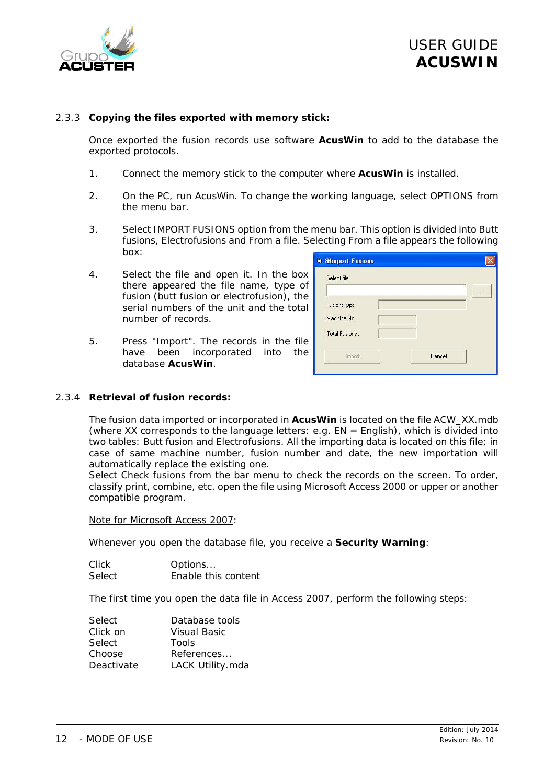

#### 2.3.3 **Copying the files exported with memory stick:**

Once exported the fusion records use software **AcusWin** to add to the database the exported protocols.

- 1. Connect the memory stick to the computer where **AcusWin** is installed.
- 2. On the PC, run AcusWin. To change the working language, select OPTIONS from the menu bar.
- 3. Select IMPORT FUSIONS option from the menu bar. This option is divided into *Butt fusions*, *Electrofusions* and *From a file*. Selecting *From a file* appears the following box:
- 4. Select the file and open it. In the box there appeared the file name, type of fusion (butt fusion or electrofusion), the serial numbers of the unit and the total number of records.
- 5. Press "Import". The records in the file have been incorporated into the database **AcusWin**.

| Select file    |        |  |
|----------------|--------|--|
| Fusions type   |        |  |
| Machine No.    |        |  |
| Total Fusions: |        |  |
| Import         | Cancel |  |

#### 2.3.4 **Retrieval of fusion records:**

The fusion data imported or incorporated in **AcusWin** is located on the file *ACW\_XX.mdb* (where XX corresponds to the language letters: e.g. EN = English), which is divided into two tables: Butt fusion and Electrofusions. All the importing data is located on this file; in case of same machine number, fusion number and date, the new importation will automatically replace the existing one.

Select *Check fusions* from the bar menu to check the records on the screen. To order, classify print, combine, etc. open the file using Microsoft Access 2000 or upper or another compatible program.

*Note for Microsoft Access 2007:*

Whenever you open the database file, you receive a **Security Warning**:

Click Options... Select Enable this content

The first time you open the data file in Access 2007, perform the following steps:

| Select     | Database tools   |
|------------|------------------|
| Click on   | Visual Basic     |
| Select     | Tools            |
| Choose     | References       |
| Deactivate | LACK Utility.mda |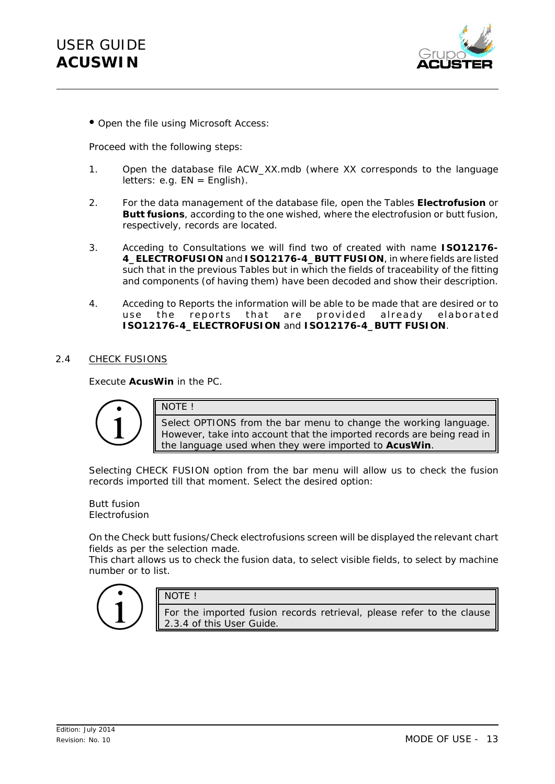

C *Open the file using Microsoft Access:*

Proceed with the following steps:

- 1. Open the database file ACW\_XX.mdb (where XX corresponds to the language  $letters: e.g. EN = English$ .
- 2. For the data management of the database file, open the Tables **Electrofusion** or **Butt fusions**, according to the one wished, where the electrofusion or butt fusion, respectively, records are located.
- 3. Acceding to Consultations we will find two of created with name **ISO12176- 4\_ELECTROFUSION** and **ISO12176-4\_BUTT FUSION**, in where fields are listed such that in the previous Tables but in which the fields of traceability of the fitting and components (of having them) have been decoded and show their description.
- 4. Acceding to Reports the information will be able to be made that are desired or to use the reports that are provided already elaborated **ISO12176-4\_ELECTROFUSION** and **ISO12176-4\_BUTT FUSION**.

#### 2.4 CHECK FUSIONS

Execute **AcusWin** in the PC.



NOTE !

NOTE !

Select OPTIONS from the bar menu to change the working language. However, take into account that the imported records are being read in the language used when they were imported to **AcusWin**.

Selecting CHECK FUSION option from the bar menu will allow us to check the fusion records imported till that moment. Select the desired option:

#### *Butt fusion Electrofusion*

On the *Check butt fusions/Check electrofusions* screen will be displayed the relevant chart fields as per the selection made.

This chart allows us to check the fusion data, to select visible fields, to select by machine number or to list.



For the imported fusion records retrieval, please refer to the clause 2.3.4 of this *User Guide*.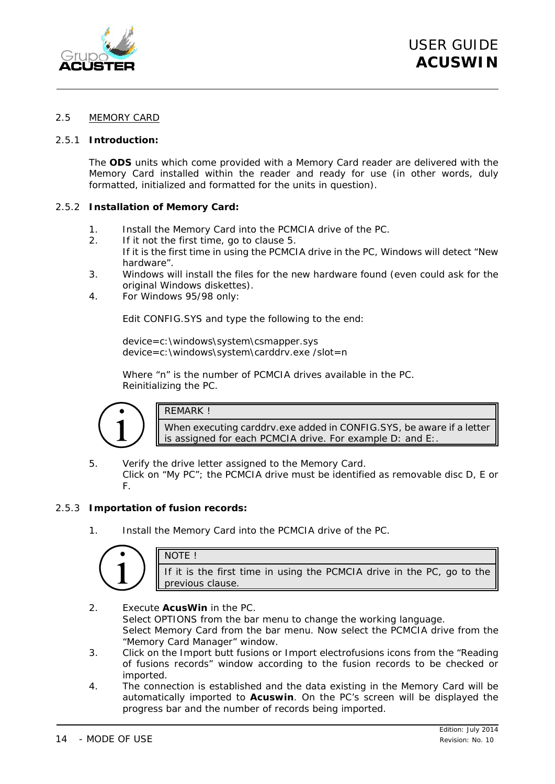

#### 2.5 MEMORY CARD

#### 2.5.1 **Introduction:**

The **ODS** units which come provided with a Memory Card reader are delivered with the Memory Card installed within the reader and ready for use (in other words, duly formatted, initialized and formatted for the units in question).

#### 2.5.2 **Installation of Memory Card:**

- 1. Install the Memory Card into the PCMCIA drive of the PC.
- 2. If it not the first time, go to clause 5.
- If it is the first time in using the PCMCIA drive in the PC, Windows will detect "New hardware".
- 3. Windows will install the files for the new hardware found (even could ask for the original Windows diskettes).
- 4. *For Windows 95/98 only:*

Edit CONFIG.SYS and type the following to the end:

device=c:\windows\system\csmapper.sys device=c:\windows\system\carddrv.exe /slot=n

Where "n" is the number of PCMCIA drives available in the PC. Reinitializing the PC.



#### REMARK !

When executing carddrv.exe added in CONFIG.SYS, be aware if a letter is assigned for each PCMCIA drive. For example D: and E:.

5. Verify the drive letter assigned to the Memory Card. Click on "My PC"; the PCMCIA drive must be identified as *removable disc D, E or F.*

#### 2.5.3 **Importation of fusion records:**

1. Install the Memory Card into the PCMCIA drive of the PC.

|  | If it is the first time in using the PCMCIA drive in the PC, go to the<br>previous clause. |
|--|--------------------------------------------------------------------------------------------|

2. Execute **AcusWin** in the PC. Select OPTIONS from the bar menu to change the working language. Select *Memory Card* from the bar menu. Now select the PCMCIA drive from the "Memory Card Manager" window.

- 3. Click on the *Import butt fusions* or *Import electrofusions* icons from the "Reading of fusions records" window according to the fusion records to be checked or imported.
- 4. The connection is established and the data existing in the Memory Card will be automatically imported to **Acuswin**. On the PC's screen will be displayed the progress bar and the number of records being imported.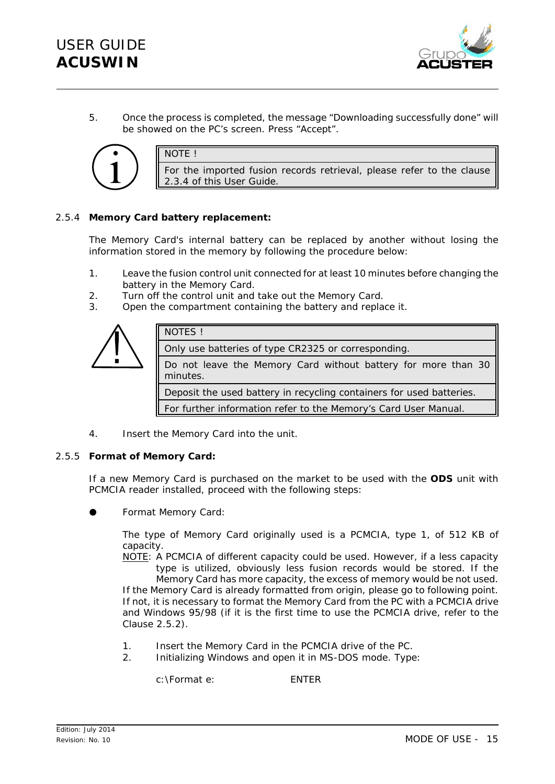

5. Once the process is completed, the message "*Downloading successfully done*" will be showed on the PC's screen. Press "Accept".



NOTE !

For the imported fusion records retrieval, please refer to the clause 2.3.4 of this *User Guide*.

#### 2.5.4 **Memory Card battery replacement:**

The Memory Card's internal battery can be replaced by another without losing the information stored in the memory by following the procedure below:

- 1. Leave the fusion control unit connected for at least 10 minutes before changing the battery in the Memory Card.
- 2. Turn off the control unit and take out the Memory Card.
- 3. Open the compartment containing the battery and replace it.



4. Insert the Memory Card into the unit.

#### 2.5.5 **Format of Memory Card:**

If a new Memory Card is purchased on the market to be used with the **ODS** unit with PCMCIA reader installed, proceed with the following steps:

*Format Memory Card:* 

The type of Memory Card originally used is a PCMCIA, type 1, of 512 KB of capacity.

NOTE: A PCMCIA of different capacity could be used. However, if a less capacity type is utilized, obviously less fusion records would be stored. If the

Memory Card has more capacity, the excess of memory would be not used. If the Memory Card is already formatted from origin, please go to following point. If not, it is necessary to format the Memory Card from the PC with a PCMCIA drive and Windows 95/98 (if it is the first time to use the PCMCIA drive, refer to the Clause 2.5.2).

- 1. Insert the Memory Card in the PCMCIA drive of the PC.
- 2. Initializing Windows and open it in MS-DOS mode. Type:

c:\Format e: ENTER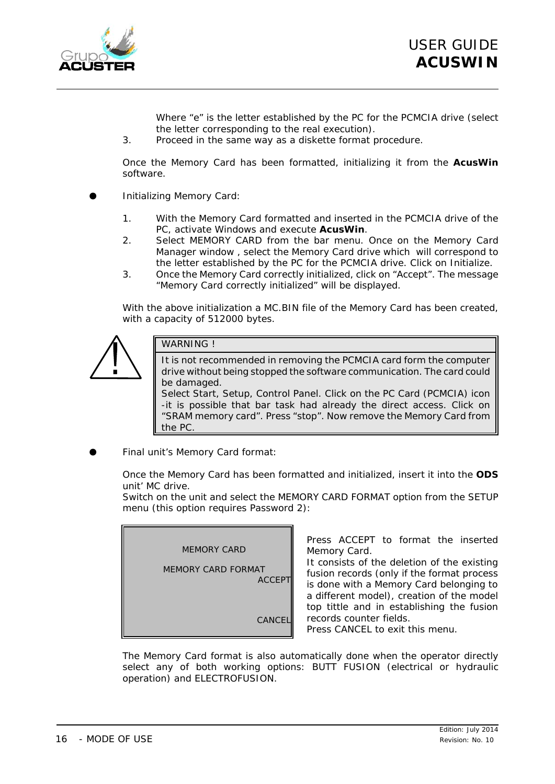

Where "e" is the letter established by the PC for the PCMCIA drive (select the letter corresponding to the real execution).

3. Proceed in the same way as a diskette format procedure.

Once the Memory Card has been formatted, *initializing* it from the **AcusWin** software.

- **Initializing Memory Card:** 
	- 1. With the Memory Card formatted and inserted in the PCMCIA drive of the PC, activate Windows and execute **AcusWin**.
	- 2. Select MEMORY CARD from the bar menu. Once on the Memory Card Manager window , select the *Memory Card drive* which will correspond to the letter established by the PC for the PCMCIA drive. Click on *Initialize*.
	- 3. Once the Memory Card correctly initialized, click on "Accept". The message "Memory Card correctly initialized" will be displayed.

With the above initialization a MC.BIN file of the Memory Card has been created, with a capacity of 512000 bytes.



#### WARNING !

It is not recommended in removing the PCMCIA card form the computer drive without being stopped the software communication. The card could be damaged.

Select *Start*, *Setup*, *Control Panel*. Click on the PC Card (PCMCIA) icon -it is possible that bar task had already the direct access. Click on "SRAM memory card". Press "stop". Now remove the Memory Card from the PC.

**Final unit's Memory Card format:** 

Once the Memory Card has been formatted and initialized, insert it into the **ODS** unit' MC drive.

Switch on the unit and select the MEMORY CARD FORMAT option from the SETUP menu (this option requires Password 2):

| <b>MEMORY CARD</b>                  |
|-------------------------------------|
| MEMORY CARD FORMAT<br><b>ACCEPT</b> |
| <b>CANCEI</b>                       |

Press ACCEPT to format the inserted Memory Card.

It consists of the deletion of the existing fusion records (only if the format process is done with a Memory Card belonging to a different model), creation of the model top tittle and in establishing the fusion records counter fields.

Press CANCEL to exit this menu.

The Memory Card format is also automatically done when the operator directly select any of both working options: BUTT FUSION (electrical or hydraulic operation) and ELECTROFUSION.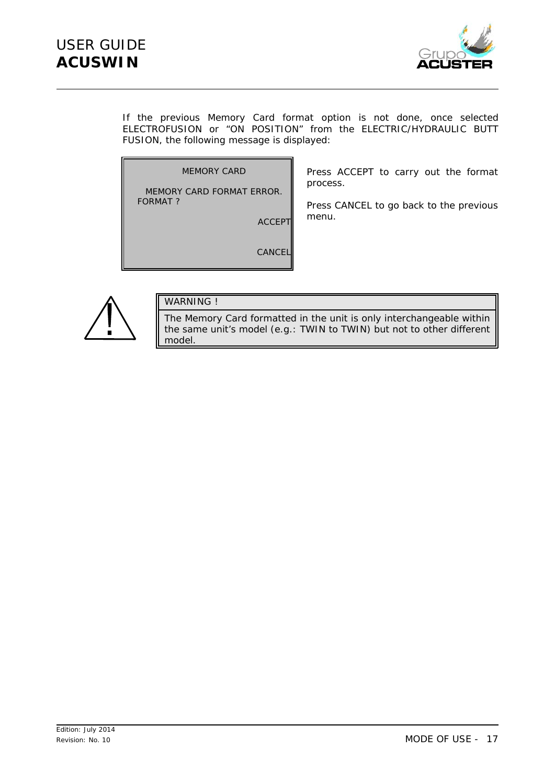

If the previous Memory Card format option is not done, once selected ELECTROFUSION or "ON POSITION" from the ELECTRIC/HYDRAULIC BUTT FUSION, the following message is displayed:

MEMORY CARD

MEMORY CARD FORMAT ERROR. FORMAT ?

ACCEPT

Press ACCEPT to carry out the format process.

Press CANCEL to go back to the previous menu.

CANCEL



#### WARNING !

The Memory Card formatted in the unit is only interchangeable within the same unit's model (e.g.: TWIN to TWIN) but not to other different model.